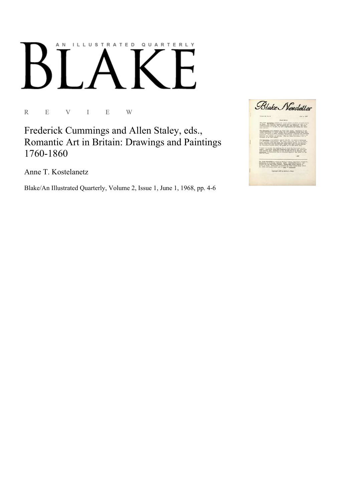# AN ILLUSTRATED QUARTERLY

R E V I E W

Frederick Cummings and Allen Staley, eds., Romantic Art in Britain: Drawings and Paintings 1760-1860

Anne T. Kostelanetz

Blake/An Illustrated Quarterly, Volume 2, Issue 1, June 1, 1968, pp. 4-6

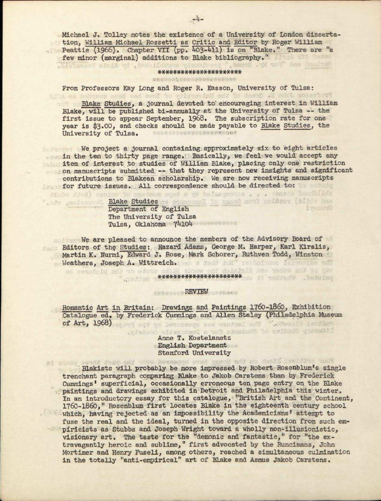Michael J, Tolley notes the existence of a University of London dissertation, William Michael Rossetti as Critic and Editor by Roger William Peattie (1966). Chapter VII (pp. 403-411) is on "Blake." There are "a feu minor (marginal) additions to Blake bibliography."

### \*\*\*\*\*\*\*\*\*\*\*\*\*\*\*\*\*\*\*\*\*

From Professors Kay Long and Roger R. Easson, University of Tulsa:

Blake Studies, a journal devoted to encouraging interest in William Blake, will be published bi-annually at the University of Tulsa -- the first issue to appear September, 1968. The subscription rate for one year is \$3.00, and checks should be made payable to Blake Studies, the University of Tulsa. v ' '

We project a journal containing approximately six to eight articles in the ten to thirty page range. Basically, we feel we would accept any item of interest to studies of William Blake, placing only one restriction on manuscripts submitted -- that they represent new insights and significant contributions to Blakean scholarship. We are now receiving manuscripts for future issues. All correspondence should be directed to:

> Blake Studies Department of English The University of Tulsa Tulsa, Oklahoma 74104

diubm ddod)

We are pleased to announce the members of the Advisory Board of Editors of the Studies: Hazard Adams, George M. Harper, Karl Kiralis, Martin K. Nurmi, Edward J. Rose, Mark Schorer, Ruthven Todd, Winston Weathers, Joseph A. Wittreich. Des a send don't recursoso felse the send

#### XXXXXXXXXXXXXXXXXXXXX X

#### **REVIEW**

Romantic Art in Britain: Drawings and Paintings 1760-1860, Exhibition Catalogue ed. by Frederick Cumnings and Allen Staley (Philadelphia Museum of Art, 1968) store and yd bercanoge and enuised on T . Wester Leslat

Anne T» Kostelanetz English Department Stanford University

Blakists will probably be more impressed by Robert Rosenblum's single trenchant paragraph comparing Blake to Jakob Carstens than by Frederick Cummings<sup>1</sup> superficial, occasionally erroneous ten page entry on the Blake paintings and drawings exhibited in Detroit and Philadelphia this winter. In an introductory essay for this catalogue, "British Art and the Continent, 1760-1860," Rosenblum first locates Blake in the eighteenth century school which, having rejected as an impossibility the Academicians' attempt to fuse the real and the ideal, turned in the opposite direction from such empiricists as Stubbs and Joseph Wright toward a wholly non-illusionistic, visionary art. The taste for the "demonic and fantastic," for "the extravagantly heroic and sublime," first advocated by the Runcimans, John Mortimer and Henry Fuseli, among others, reached a simultaneous culmination in the totally "anti-empirical" art of Blake and Asmus Jakob Carstens.

media Incline who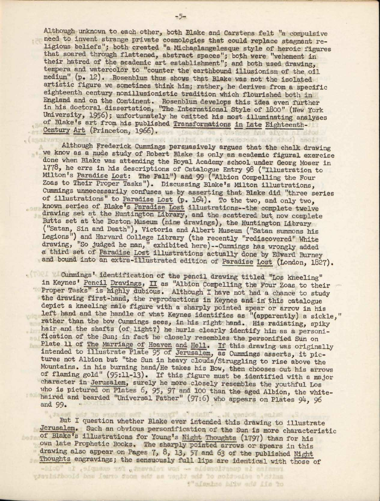Although unknown to each other, both Blake and Carstens felt "a compulsive need to invent strange private cosmologies that could replace stagnant religious beliefs"; both- created "a Michaelangelesque style of heroic figures that soared through flattened, abstract spaces"; both were "vehement in their hatred of the academic art establishment"; and both used drawing, tempera and watercolor to "counter the earthbound illusionism of the oil medium" (p. 12). Rosenblum thus shows that Blake was not the isolated artistic figure we sometimes think him; rather, he derives from a specific eighteenth century nonillusionistic tradition which flourished both in England and on the Continent. Rosenblum develops this idea even further in his doctoral dissertation, "The International Style of 1800" (New York University, 1956); unfortunately he omitted his most illuminating analyses of Blake's art from his published Transformations in Late Eighteenth-Century Art (Princeton, 1966).

. (Rharver

 $-100$ 

**Dire** 

1921

and at sadodena and diod) anoid

Although Frederick Cummings persuasively argues that the chalk drawing we know as a nude study of Robert Blake is only an academic figural exercise done when Blake was attending the Royal Academy school under Georg Moser in 1778, he errs in his descriptions of Catalogue Entry 98 ("Illustration to Milton's Paradise Lost; The Fall") and 99 ("Albion Compelling the Four Zoas to Their Proper Tasks"). Discussing Blake's Milton illustrations, Cummings unnecessarily confuses us by asserting that Blake did "three series of illustrations" to Paradise Lost (p. 164). To the two, and only two, known series of Blake's Paradise Lost illustrations—the complete twelve drawing set at the Huntington Library, and the scattered but now complete Butts set at the Boston Museum (nine drawings), the Huntington Library ("Satan, Sin and Death"), Victoria and Albert Museum ("Satan summons his Legions") and Harvard College Library (the recently "rediscovered" White drawing, "So judged he man," exhibited here)--Cummings has wrongly added a third set of Paradise Lost illustrations actually done by Edward Burney and bound into an extra-illustrated edition of Paradise Lost (London, 1827).

Cummings' identification of the pencil drawing titled "Lop kneeling" in Keynes' Pencil Drawings, II as "Albion Compelling the Four Zoas to their Proper Tasks" is highly dubious. Although I have not had a chance to study the drawing first-hand, the reproductions in Keynes and in this catalogue depict a kneeling male figure with a sharply pointed spear or arrow in his left hand and the handle of what Keynes identifies as "(apparently) a sickle," rather than the bow Cummings sees, in his right hand. His radiating, spiky hair and the shafts (of light?) he hurls clearly identify him as a personification of the Sun; in fact he closely resembles the personified Sun on Plate 11 of The Marriage of Heaven and Hell. If this drawing was originally intended to illustrate Plate 95 of Jerusalem, as Cummings asserts, it pictures not Albion but "the Sun in heavy clouds/Struggling to rise above the Mountains, in his burning hand/He takes his Bow, then chooses out his arrows of flaming gold" (95:11-13). If this figure must be identified with a major character in Jerusalem, surely he more closely resembles the youthful Los who is pictured on Plates 6, 95, 97 and 100 than the aged Albion, the whitehaired and bearded "Universal Father" (97:6) who appears on Plates 94, 96 and 99. ' \*

But I question whether Blake ever intended this drawing to illustrate Jerusalem, Such an obvious personification of the Sun is more characteristic of Blake's illustrations for Young's Night Thoughts (1797) than for his own late Prophetic Eooks. The sharply pointed arrows or- spears in this drawing also appear on Pages 7, 8, 13, 57 and 63 of the published Night Thoughts engravings; the sensuously full lips are identical with those of

?"alembro hiiw add IIm to

which if , ilgass tot , inevaior was -- aldenoitesup al animary gjerinithoold bnu ferro doom end as tenti end to soldoeine a' dina